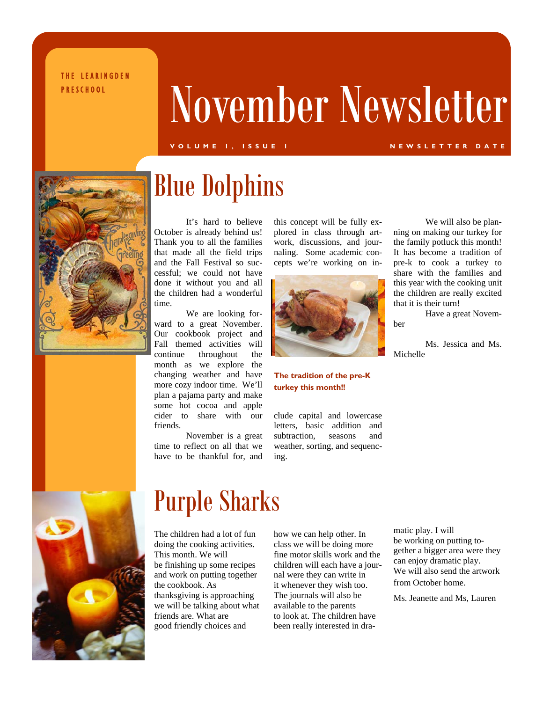THE LEARINGDEN

# PRESCHOOL November Newsletter

### **VOLUME 1, ISSUE 1 NEWSLETTER DATE**



### Blue Dolphins

It's hard to believe October is already behind us! Thank you to all the families that made all the field trips and the Fall Festival so successful; we could not have done it without you and all the children had a wonderful time.

We are looking forward to a great November. Our cookbook project and Fall themed activities will continue throughout the month as we explore the changing weather and have more cozy indoor time. We'll plan a pajama party and make some hot cocoa and apple cider to share with our friends.

November is a great time to reflect on all that we have to be thankful for, and

this concept will be fully explored in class through artwork, discussions, and journaling. Some academic concepts we're working on in-



### **The tradition of the pre-K turkey this month!!**

clude capital and lowercase letters, basic addition and subtraction, seasons and weather, sorting, and sequencing.

We will also be planning on making our turkey for the family potluck this month! It has become a tradition of pre-k to cook a turkey to share with the families and this year with the cooking unit the children are really excited that it is their turn!

Have a great Novem-

ber

Ms. Jessica and Ms. Michelle



### Purple Sharks

The children had a lot of fun doing the cooking activities. This month. We will be finishing up some recipes and work on putting together the cookbook. As thanksgiving is approaching we will be talking about what friends are. What are good friendly choices and

how we can help other. In class we will be doing more fine motor skills work and the children will each have a journal were they can write in it whenever they wish too. The journals will also be available to the parents to look at. The children have been really interested in dramatic play. I will be working on putting together a bigger area were they can enjoy dramatic play. We will also send the artwork from October home.

Ms. Jeanette and Ms, Lauren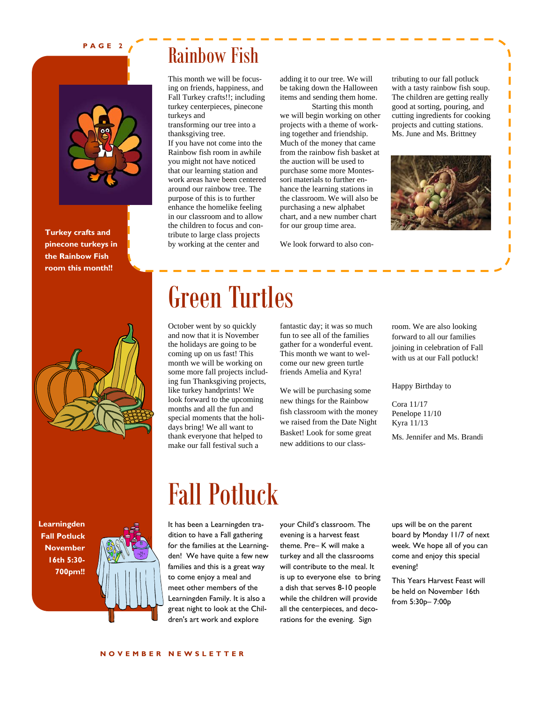### **PAGE 2**



**Turkey crafts and pinecone turkeys in the Rainbow Fish room this month!!** 



Rainbow Fish

This month we will be focusing on friends, happiness, and Fall Turkey crafts!!; including turkey centerpieces, pinecone turkeys and

transforming our tree into a thanksgiving tree.

If you have not come into the Rainbow fish room in awhile you might not have noticed that our learning station and work areas have been centered around our rainbow tree. The purpose of this is to further enhance the homelike feeling in our classroom and to allow the children to focus and contribute to large class projects by working at the center and

Green Turtles

October went by so quickly and now that it is November the holidays are going to be coming up on us fast! This month we will be working on some more fall projects including fun Thanksgiving projects, like turkey handprints! We look forward to the upcoming months and all the fun and special moments that the holidays bring! We all want to thank everyone that helped to make our fall festival such a

adding it to our tree. We will be taking down the Halloween items and sending them home.

 Starting this month we will begin working on other projects with a theme of working together and friendship. Much of the money that came from the rainbow fish basket at the auction will be used to purchase some more Montessori materials to further enhance the learning stations in the classroom. We will also be purchasing a new alphabet chart, and a new number chart for our group time area.

We look forward to also con-

come our new green turtle friends Amelia and Kyra!

We will be purchasing some new things for the Rainbow fish classroom with the money we raised from the Date Night Basket! Look for some great new additions to our classtributing to our fall potluck with a tasty rainbow fish soup. The children are getting really good at sorting, pouring, and cutting ingredients for cooking projects and cutting stations. Ms. June and Ms. Brittney



fantastic day; it was so much fun to see all of the families gather for a wonderful event. This month we want to welroom. We are also looking forward to all our families joining in celebration of Fall

Happy Birthday to

with us at our Fall potluck!

Cora 11/17 Penelope 11/10 Kyra 11/13

Ms. Jennifer and Ms. Brandi

**Learningden Fall Potluck November 16th 5:30- 700pm!!** 



### Fall Potluck

It has been a Learningden tradition to have a Fall gathering for the families at the Learningden! We have quite a few new families and this is a great way to come enjoy a meal and meet other members of the Learningden Family. It is also a great night to look at the Children's art work and explore

your Child's classroom. The evening is a harvest feast theme. Pre– K will make a turkey and all the classrooms will contribute to the meal. It is up to everyone else to bring a dish that serves 8-10 people while the children will provide all the centerpieces, and decorations for the evening. Sign

ups will be on the parent board by Monday 11/7 of next week. We hope all of you can come and enjoy this special evening!

This Years Harvest Feast will be held on November 16th from 5:30p– 7:00p